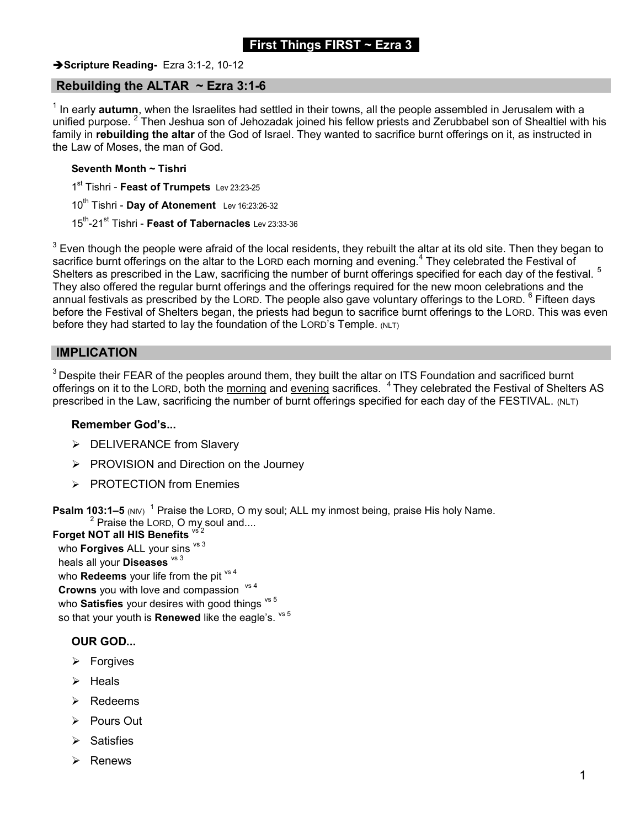# First Things FIRST  $\sim$  Ezra 3

#### Scripture Reading- Ezra 3:1-2, 10-12

### Rebuilding the ALTAR  $\sim$  Ezra 3:1-6

 $^{\text{\tiny{1}}}$  In early  $\bm{a}$ utumn, when the Israelites had settled in their towns, all the people assembled in Jerusalem with a unified purpose. <sup>2</sup> Then Jeshua son of Jehozadak joined his fellow priests and Zerubbabel son of Shealtiel with his family in rebuilding the altar of the God of Israel. They wanted to sacrifice burnt offerings on it, as instructed in the Law of Moses, the man of God.

#### Seventh Month ~ Tishri

1<sup>st</sup> Tishri - Feast of Trumpets Lev 23:23-25

 $10^{th}$  Tishri - Day of Atonement Lev 16:23:26-32

15<sup>th</sup>-21<sup>st</sup> Tishri - Feast of Tabernacles Lev 23:33-36

 $^3$  Even though the people were afraid of the local residents, they rebuilt the altar at its old site. Then they began to sacrifice burnt offerings on the altar to the LORD each morning and evening.<sup>4</sup> They celebrated the Festival of Shelters as prescribed in the Law, sacrificing the number of burnt offerings specified for each day of the festival. <sup>5</sup> They also offered the regular burnt offerings and the offerings required for the new moon celebrations and the annual festivals as prescribed by the LORD. The people also gave voluntary offerings to the LORD. <sup>6</sup> Fifteen days before the Festival of Shelters began, the priests had begun to sacrifice burnt offerings to the LORD. This was even before they had started to lay the foundation of the LORD's Temple. (NLT)

### IMPLICATION

 $3$  Despite their FEAR of the peoples around them, they built the altar on ITS Foundation and sacrificed burnt offerings on it to the LORD, both the morning and evening sacrifices. <sup>4</sup>They celebrated the Festival of Shelters AS prescribed in the Law, sacrificing the number of burnt offerings specified for each day of the FESTIVAL. (NLT)

#### Remember God's...

- > DELIVERANCE from Slavery
- $\triangleright$  PROVISION and Direction on the Journey
- > PROTECTION from Enemies

**Psalm 103:1–5** (NIV) <sup>1</sup> Praise the LORD, O my soul; ALL my inmost being, praise His holy Name.  $^2$  Praise the LORD, O my soul and....

Forget NOT all HIS Benefits  $\frac{\sqrt{5}}{2}$ who **Forgives** ALL your sins  $vs<sup>3</sup>$ heals all your **Diseases**  $vs<sup>3</sup>$ who **Redeems** your life from the pit  $\frac{v}{s}$ **Crowns** you with love and compassion  $vs 4$ who Satisfies your desires with good things  $vs<sup>5</sup>$ so that your youth is **Renewed** like the eagle's.  $vs<sup>5</sup>$ 

### OUR GOD...

- $\triangleright$  Forgives
- Heals
- $\triangleright$  Redeems
- Pours Out
- Satisfies
- $\triangleright$  Renews